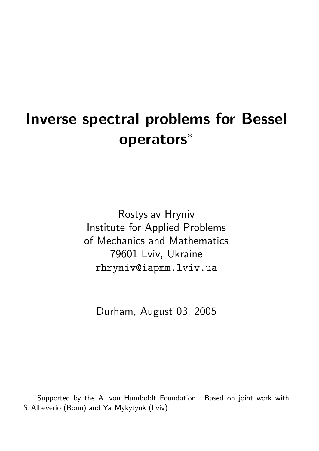# Inverse spectral problems for Bessel operators<sup>∗</sup>

Rostyslav Hryniv Institute for Applied Problems of Mechanics and Mathematics 79601 Lviv, Ukraine rhryniv@iapmm.lviv.ua

Durham, August 03, 2005

<sup>∗</sup> Supported by the A. von Humboldt Foundation. Based on joint work with S. Albeverio (Bonn) and Ya. Mykytyuk (Lviv)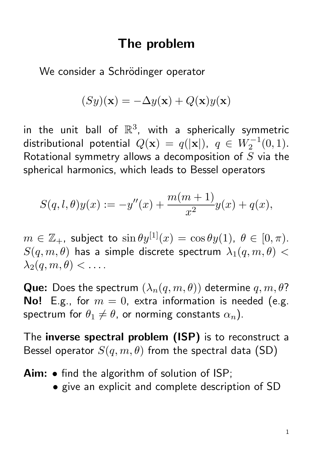## The problem

We consider a Schrödinger operator

$$
(Sy)(\mathbf{x}) = -\Delta y(\mathbf{x}) + Q(\mathbf{x})y(\mathbf{x})
$$

in the unit ball of  $\mathbb{R}^3$ , with a spherically symmetric distributional potential  $Q(\mathbf{x})\,=\,q(|\mathbf{x}|),\,\ q\,\in\,W_2^{-1}(0,1).$ Rotational symmetry allows a decomposition of  $S$  via the spherical harmonics, which leads to Bessel operators

$$
S(q, l, \theta)y(x) := -y''(x) + \frac{m(m+1)}{x^2}y(x) + q(x),
$$

 $m \in \mathbb{Z}_+$ , subject to  $\sin \theta y^{[1]}(x) = \cos \theta y^{[1]}(x)$ ,  $\theta \in [0, \pi)$ .  $S(q, m, \theta)$  has a simple discrete spectrum  $\lambda_1(q, m, \theta)$  <  $\lambda_2(q,m,\theta) < \ldots$ .

**Que:** Does the spectrum  $(\lambda_n(q, m, \theta))$  determine  $q, m, \theta$ ? **No!** E.g., for  $m = 0$ , extra information is needed (e.g. spectrum for  $\theta_1 \neq \theta$ , or norming constants  $\alpha_n$ ).

The inverse spectral problem (ISP) is to reconstruct a Bessel operator  $S(q, m, \theta)$  from the spectral data (SD)

- Aim: find the algorithm of solution of ISP;
	- give an explicit and complete description of SD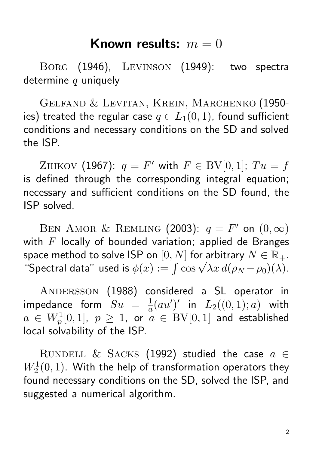### Known results:  $m = 0$

Borg (1946), Levinson (1949): two spectra determine  $q$  uniquely

Gelfand & Levitan, Krein, Marchenko (1950 ies) treated the regular case  $q \in L_1(0,1)$ , found sufficient conditions and necessary conditions on the SD and solved the ISP.

ZHIKOV (1967):  $q = F'$  with  $F \in BV[0,1]$ ;  $Tu = f$ is defined through the corresponding integral equation; necessary and sufficient conditions on the SD found, the ISP solved.

BEN AMOR & REMLING (2003):  $q = F'$  on  $(0, \infty)$ with  $F$  locally of bounded variation; applied de Branges space method to solve ISP on  $[0, N]$  for arbitrary  $N \in \mathbb{R}_+$ . space method to solve ISP on  $[0,N]$  for arbitrary  $N\in\mathbb{R}_+.$  "Spectral data" used is  $\phi(x):=\int\cos\sqrt{\lambda}x\,d(\rho_N-\rho_0)(\lambda).$ 

ANDERSSON (1988) considered a SL operator in impedance form  $Su = \frac{1}{a}$  $\frac{1}{a}(au')'$  in  $L_2((0,1);a)$  with  $a~\in~W_{p}^{1}[0,1],~~p~\geq~1,~~$  or  $\stackrel{\circ}{a}~\in~\mathrm{BV}[0,1]$  and established local solvability of the ISP.

RUNDELL & SACKS (1992) studied the case  $a \in$  $W^1_2(0,1)$ . With the help of transformation operators they found necessary conditions on the SD, solved the ISP, and suggested a numerical algorithm.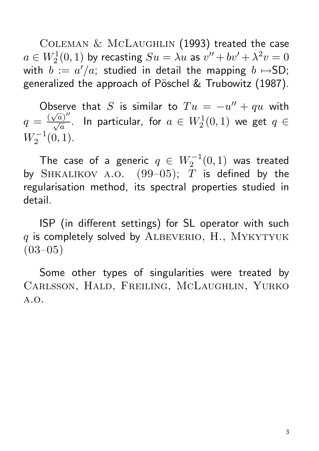COLEMAN & MCLAUGHLIN (1993) treated the case  $a\in W^1_2(0,1)$  by recasting  $Su=\lambda u$  as  $v''+bv'+\lambda^2 v=0$ with  $b := a'/a$ ; studied in detail the mapping  $b \mapsto$ SD; generalized the approach of Pöschel & Trubowitz (1987).

Observe that S is similar to  $Tu = -u'' + qu$  with  $q = \frac{(\sqrt{a})^{\prime\prime}}{\sqrt{a}}$  $\frac{V}{\sqrt{2}}$  $\frac{a)^{\prime\prime}}{a}.$  In particular, for  $a\,\in\,W^1_2(0,1)$  we get  $q\,\in\,$  $W_2^{-1}(0,1)$ .

The case of a generic  $q\,\in\, W_2^{-1}(0,1)$  was treated by SHKALIKOV A.O.  $(99-05)$ ; T is defined by the regularisation method, its spectral properties studied in detail.

ISP (in different settings) for SL operator with such  $q$  is completely solved by ALBEVERIO, H., MYKYTYUK  $(03-05)$ 

Some other types of singularities were treated by Carlsson, Hald, Freiling, McLaughlin, Yurko a.o.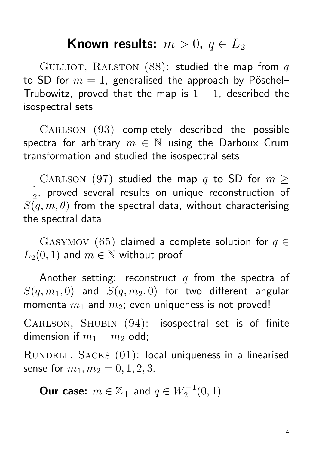# Known results:  $m > 0$ ,  $q \in L_2$

GULLIOT, RALSTON  $(88)$ : studied the map from q to SD for  $m = 1$ , generalised the approach by Pöschel-Trubowitz, proved that the map is  $1 - 1$ , described the isospectral sets

CARLSON (93) completely described the possible spectra for arbitrary  $m \in \mathbb{N}$  using the Darboux–Crum transformation and studied the isospectral sets

CARLSON (97) studied the map q to SD for  $m \geq$  $-\frac{1}{2}$  $\frac{1}{2}$ , proved several results on unique reconstruction of  $S(q, m, \theta)$  from the spectral data, without characterising the spectral data

GASYMOV (65) claimed a complete solution for  $q \in$  $L_2(0, 1)$  and  $m \in \mathbb{N}$  without proof

Another setting: reconstruct  $q$  from the spectra of  $S(q, m_1, 0)$  and  $S(q, m_2, 0)$  for two different angular momenta  $m_1$  and  $m_2$ ; even uniqueness is not proved!

CARLSON, SHUBIN (94): isospectral set is of finite dimension if  $m_1 - m_2$  odd;

RUNDELL, SACKS (01): local uniqueness in a linearised sense for  $m_1, m_2 = 0, 1, 2, 3$ .

Our case:  $m \in \mathbb{Z}_+$  and  $q \in W_2^{-1}(0,1)$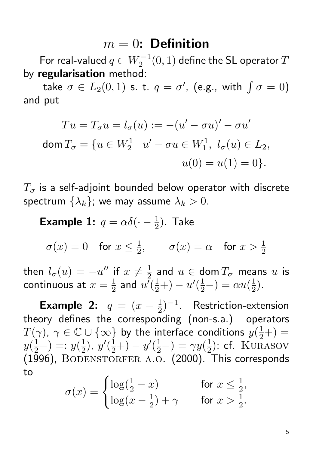### $m = 0$ : Definition

For real-valued  $q\in W_2^{-1}(0,1)$  define the SL operator  $T$ by regularisation method:

take  $\sigma \in L_2(0,1)$  s. t.  $q = \sigma'$ , (e.g., with  $\int \sigma = 0$ ) and put

$$
Tu = T_{\sigma}u = l_{\sigma}(u) := -(u' - \sigma u)' - \sigma u'
$$
  
dom  $T_{\sigma} = \{u \in W_2^1 | u' - \sigma u \in W_1^1, l_{\sigma}(u) \in L_2,$   
 $u(0) = u(1) = 0\}.$ 

 $T_{\sigma}$  is a self-adjoint bounded below operator with discrete spectrum  $\{\lambda_k\}$ ; we may assume  $\lambda_k > 0$ .

**Example 1:**  $q = \alpha \delta(\cdot - \frac{1}{2})$  $(\frac{1}{2})$ . Take

 $\sigma(x)=0$  for  $x\leq \frac{1}{2}$  $\frac{1}{2}$ ,  $\sigma(x) = \alpha$  for  $x > \frac{1}{2}$ 

then  $l_{\sigma}(u)=-u''$  if  $x\neq \frac{1}{2}$  $\frac{1}{2}$  and  $u \in \mathsf{dom}\, T_{\sigma}$  means  $u$  is continuous at  $x=\frac{1}{2}$  $\frac{1}{2}$  and  $u^7(\frac{1}{2}+)-u'(\frac{1}{2}-)=\alpha u(\frac{1}{2}$  $(\frac{1}{2})$ .

**Example 2:**  $q = (x - \frac{1}{2})$  $(\frac{1}{2})^{-1}$ . Restriction-extension theory defines the corresponding (non-s.a.) operators  $T(\gamma)$ ,  $\gamma \in \mathbb{C} \cup \{\infty\}$  by the interface conditions  $y(\frac{1}{2}+) =$  $y(\frac{1}{2}-) =: y(\frac{1}{2})$  $(\frac{1}{2}), y'(\frac{1}{2}+) - y'(\frac{1}{2}-) = \gamma y(\frac{1}{2})$  $(\frac{1}{2})$ ; cf. KURASOV (1996), BODENSTORFER A.O. (2000). This corresponds to

$$
\sigma(x) = \begin{cases} \log(\frac{1}{2} - x) & \text{for } x \le \frac{1}{2}, \\ \log(x - \frac{1}{2}) + \gamma & \text{for } x > \frac{1}{2}. \end{cases}
$$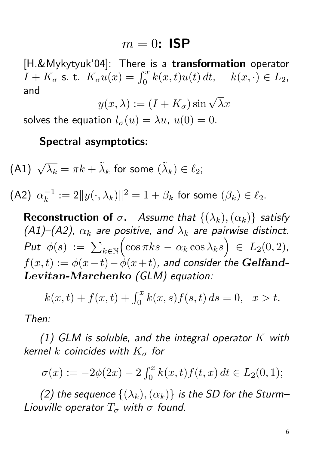#### $m = 0$ : ISP

[H.&Mykytyuk'04]: There is a transformation operator  $I + K_{\sigma}$  s. t.  $K_{\sigma}u(x) = \int_0^x k(x,t)u(t) dt$ ,  $k(x, \cdot) \in L_2$ , and

$$
y(x,\lambda) := (I + K_{\sigma})\sin\sqrt{\lambda}x
$$

solves the equation  $l_{\sigma}(u) = \lambda u$ ,  $u(0) = 0$ .

#### Spectral asymptotics:

(A1) 
$$
\sqrt{\lambda_k} = \pi k + \tilde{\lambda}_k
$$
 for some  $(\tilde{\lambda}_k) \in \ell_2$ ;

(A2)  $\alpha_k^{-1}$  $\frac{1}{k}$  :=  $2\|y(\cdot,\lambda_k)\|^2 = 1 + \beta_k$  for some  $(\beta_k) \in \ell_2$ .

**Reconstruction of**  $\sigma$ . Assume that  $\{(\lambda_k),(\alpha_k)\}\$  satisfy (A1)–(A2),  $\alpha_k$  are positive, and  $\lambda_k$  are pairwise distinct. Put  $\phi(s)$  :=  $\sum_{k\in\mathbb{N}}$  $\left(\cos \pi k s - \alpha_k \cos \lambda_k s\right) \in L_2(0,2),$  $f(x,t) := \phi(x-t) - \dot{\phi}(x+t)$ , and consider the Gelfand-Levitan-Marchenko (GLM) equation:

$$
k(x,t) + f(x,t) + \int_0^x k(x,s)f(s,t) ds = 0, \quad x > t.
$$

Then:

(1) GLM is soluble, and the integral operator  $K$  with kernel k coincides with  $K_{\sigma}$  for

$$
\sigma(x) := -2\phi(2x) - 2\int_0^x k(x, t) f(t, x) dt \in L_2(0, 1);
$$

(2) the sequence  $\{(\lambda_k),(\alpha_k)\}\$ is the SD for the Sturm-Liouville operator  $T_{\sigma}$  with  $\sigma$  found.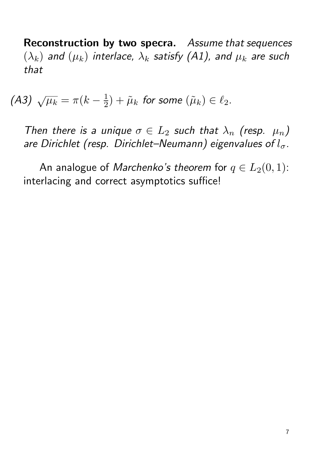Reconstruction by two specra. Assume that sequences  $(\lambda_k)$  and  $(\mu_k)$  interlace,  $\lambda_k$  satisfy (A1), and  $\mu_k$  are such that

(A3)  $\sqrt{\mu_k} = \pi (k -$ 1  $(\tilde{\mu}_k) + \tilde{\mu}_k$  for some  $(\tilde{\mu}_k) \in \ell_2$ .

Then there is a unique  $\sigma \in L_2$  such that  $\lambda_n$  (resp.  $\mu_n$ ) are Dirichlet (resp. Dirichlet–Neumann) eigenvalues of  $l_{\sigma}$ .

An analogue of *Marchenko's theorem* for  $q \in L_2(0,1)$ : interlacing and correct asymptotics suffice!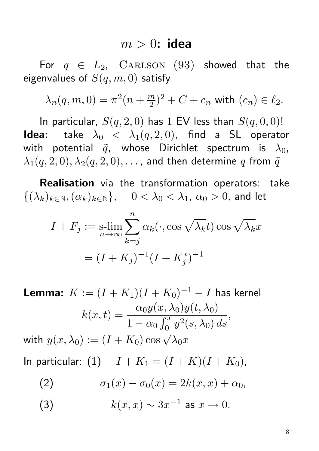#### $m > 0$ : idea

For  $q \in L_2$ , CARLSON (93) showed that the eigenvalues of  $S(q, m, 0)$  satisfy

$$
\lambda_n(q, m, 0) = \pi^2(n + \frac{m}{2})^2 + C + c_n \text{ with } (c_n) \in \ell_2.
$$

In particular,  $S(q, 2, 0)$  has 1 EV less than  $S(q, 0, 0)$ ! **Idea:** take  $\lambda_0 < \lambda_1(q, 2, 0)$ , find a SL operator with potential  $\tilde{q}$ , whose Dirichlet spectrum is  $\lambda_0$ ,  $\lambda_1(q,2,0), \lambda_2(q,2,0), \ldots$ , and then determine q from  $\tilde{q}$ 

Realisation via the transformation operators: take  $\{(\lambda_k)_{k\in\mathbb{N}},(\alpha_k)_{k\in\mathbb{N}}\}\text{,}\quad 0<\lambda_0<\lambda_1\text{,}\alpha_0>0\text{,}$  and let

$$
I + F_j := \operatorname*{s-lim}_{n \to \infty} \sum_{k=j}^{n} \alpha_k(\cdot, \cos \sqrt{\lambda_k} t) \cos \sqrt{\lambda_k} x
$$

$$
= (I + K_j)^{-1} (I + K_j^*)^{-1}
$$

**Lemma:**  $K := (I + K_1)(I + K_0)^{-1} - I$  has kernel  $k(x,t) = \frac{\alpha_0 y(x,\lambda_0) y(t,\lambda_0)}{c^x}$  $\overline{1-\alpha_0\int_0^x y^2(s,\lambda_0)\,ds}$ , with  $y(x,\lambda_0):=(I+K_0)\cos\sqrt{\lambda_0}x$ 

In particular: (1)  $I + K_1 = (I + K)(I + K_0)$ ,

(2) 
$$
\sigma_1(x) - \sigma_0(x) = 2k(x,x) + \alpha_0,
$$

(3) 
$$
k(x, x) \sim 3x^{-1}
$$
 as  $x \to 0$ .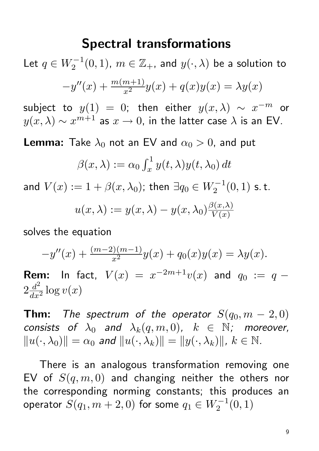### Spectral transformations

Let  $q\in W_2^{-1}(0,1)$ ,  $m\in \mathbb{Z}_+$ , and  $y(\cdot,\lambda)$  be a solution to  $-y''(x) + \frac{m(m+1)}{x^2}y(x) + q(x)y(x) = \lambda y(x)$ 

subject to  $y(1) = 0$ ; then either  $y(x, \lambda) \sim x^{-m}$  or  $y(x,\lambda) \sim x^{m+1}$  as  $x \to 0$ , in the latter case  $\lambda$  is an EV.

**Lemma:** Take  $\lambda_0$  not an EV and  $\alpha_0 > 0$ , and put

$$
\beta(x,\lambda) := \alpha_0 \int_x^1 y(t,\lambda) y(t,\lambda_0) dt
$$

and  $V(x):=1+\beta(x,\lambda_0)$ ; then  $\exists q_0\in W_2^{-1}(0,1)$  s.t.

$$
u(x,\lambda) := y(x,\lambda) - y(x,\lambda_0) \frac{\beta(x,\lambda)}{V(x)}
$$

solves the equation

$$
-y''(x) + \frac{(m-2)(m-1)}{x^2}y(x) + q_0(x)y(x) = \lambda y(x).
$$
  
**Rem:** In fact,  $V(x) = x^{-2m+1}v(x)$  and  $q_0 := q -$ 

 $2\frac{d^2}{dx^2}$  $\frac{d^2}{dx^2} \log v(x)$ 

**Thm:** The spectrum of the operator  $S(q_0, m-2, 0)$ consists of  $\lambda_0$  and  $\lambda_k(q, m, 0)$ ,  $k \in \mathbb{N}$ ; moreover,  $||u(\cdot, \lambda_0)|| = \alpha_0$  and  $||u(\cdot, \lambda_k)|| = ||y(\cdot, \lambda_k)||$ ,  $k \in \mathbb{N}$ .

There is an analogous transformation removing one EV of  $S(q, m, 0)$  and changing neither the others nor the corresponding norming constants; this produces an operator  $S(q_1, m+2, 0)$  for some  $q_1 \in W_2^{-1}(0,1)$